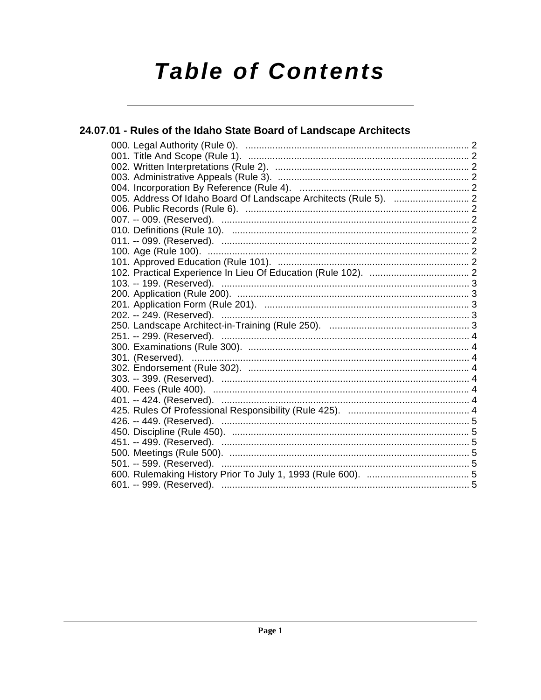# **Table of Contents**

#### 24.07.01 - Rules of the Idaho State Board of Landscape Architects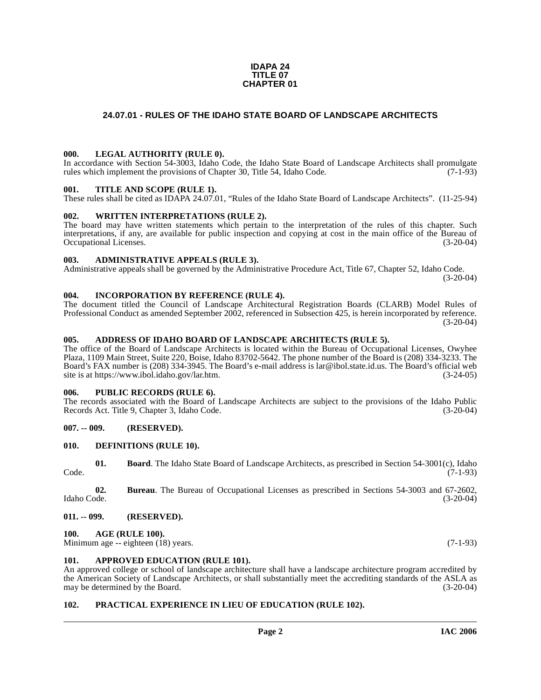#### **IDAPA 24 TITLE 07 CHAPTER 01**

#### <span id="page-1-0"></span>**24.07.01 - RULES OF THE IDAHO STATE BOARD OF LANDSCAPE ARCHITECTS**

#### <span id="page-1-1"></span>**000. LEGAL AUTHORITY (RULE 0).**

In accordance with Section 54-3003, Idaho Code, the Idaho State Board of Landscape Architects shall promulgate rules which implement the provisions of Chapter 30, Title 54, Idaho Code. (7-1-93)

#### <span id="page-1-2"></span>**001. TITLE AND SCOPE (RULE 1).**

These rules shall be cited as IDAPA 24.07.01, "Rules of the Idaho State Board of Landscape Architects". (11-25-94)

#### <span id="page-1-3"></span>**002. WRITTEN INTERPRETATIONS (RULE 2).**

The board may have written statements which pertain to the interpretation of the rules of this chapter. Such interpretations, if any, are available for public inspection and copying at cost in the main office of the Bureau of Occupational Licenses. (3-20-04) Occupational Licenses.

#### <span id="page-1-4"></span>**003. ADMINISTRATIVE APPEALS (RULE 3).**

Administrative appeals shall be governed by the Administrative Procedure Act, Title 67, Chapter 52, Idaho Code.

(3-20-04)

#### <span id="page-1-5"></span>**004. INCORPORATION BY REFERENCE (RULE 4).**

The document titled the Council of Landscape Architectural Registration Boards (CLARB) Model Rules of Professional Conduct as amended September 2002, referenced in Subsection 425, is herein incorporated by reference. (3-20-04)

#### <span id="page-1-6"></span>**005. ADDRESS OF IDAHO BOARD OF LANDSCAPE ARCHITECTS (RULE 5).**

[The office of the Board of Landscape Architects is located within the Bureau of Occupational Licenses, Owyhee](mailto:lar@ibol.state.id.us) Plaza, 1109 Main Street, Suite 220, Boise, Idaho 83702-5642. The phone number of the Board is (208) 334-3233. The Board's FAX number is (208) 334-3945. The Board's e-mail address is lar@ibol.state.id.us. The Board's official web [site is at](mailto:lar@ibol.state.id.us) [https://www.ibol.idaho.gov/lar.htm. \(3-24-05\)](https://www.ibol.idaho.gov/lar.htm)

#### <span id="page-1-7"></span>**006. PUBLIC RECORDS (RULE 6).**

The records associated with the Board of Landscape Architects are subject to the provisions of the Idaho Public<br>Records Act. Title 9. Chapter 3. Idaho Code. (3-20-04) Records Act. Title 9, Chapter 3, Idaho Code.

#### <span id="page-1-8"></span>**007. -- 009. (RESERVED).**

#### <span id="page-1-16"></span><span id="page-1-9"></span>**010. DEFINITIONS (RULE 10).**

|       | <b>Board</b> . The Idaho State Board of Landscape Architects, as prescribed in Section 54-3001(c), Idaho |
|-------|----------------------------------------------------------------------------------------------------------|
| Code. | $(7-1-93)$                                                                                               |

**02. Bureau**. The Bureau of Occupational Licenses as prescribed in Sections 54-3003 and 67-2602, Idaho Code. (3-20-04)

#### <span id="page-1-10"></span>**011. -- 099. (RESERVED).**

#### <span id="page-1-14"></span><span id="page-1-11"></span>**100. AGE (RULE 100).**

Minimum age -- eighteen (18) years. (7-1-93)

#### <span id="page-1-15"></span><span id="page-1-12"></span>**101. APPROVED EDUCATION (RULE 101).**

An approved college or school of landscape architecture shall have a landscape architecture program accredited by the American Society of Landscape Architects, or shall substantially meet the accrediting standards of the ASLA as may be determined by the Board. (3-20-04)

#### <span id="page-1-17"></span><span id="page-1-13"></span>**102. PRACTICAL EXPERIENCE IN LIEU OF EDUCATION (RULE 102).**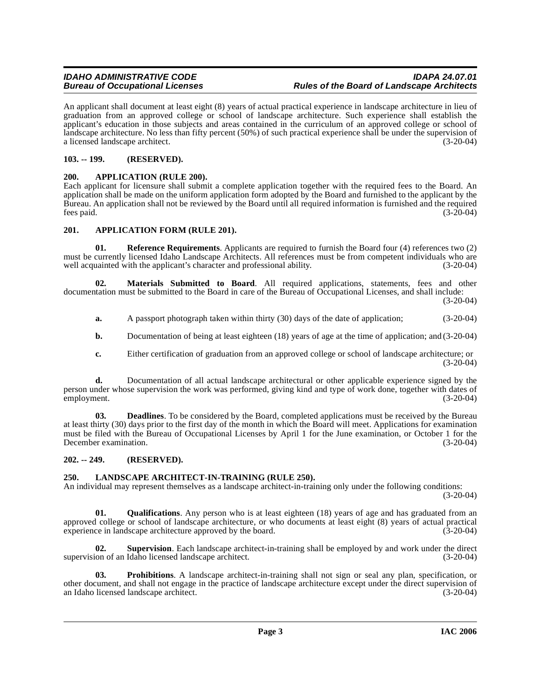An applicant shall document at least eight (8) years of actual practical experience in landscape architecture in lieu of graduation from an approved college or school of landscape architecture. Such experience shall establish the applicant's education in those subjects and areas contained in the curriculum of an approved college or school of landscape architecture. No less than fifty percent (50%) of such practical experience shall be under the supervision of a licensed landscape architect. (3-20-04)

#### <span id="page-2-0"></span>**103. -- 199. (RESERVED).**

#### <span id="page-2-5"></span><span id="page-2-1"></span>**200. APPLICATION (RULE 200).**

Each applicant for licensure shall submit a complete application together with the required fees to the Board. An application shall be made on the uniform application form adopted by the Board and furnished to the applicant by the Bureau. An application shall not be reviewed by the Board until all required information is furnished and the required fees paid. (3-20-04)  $f$ ees paid.  $(3-20-04)$ 

#### <span id="page-2-6"></span><span id="page-2-2"></span>**201. APPLICATION FORM (RULE 201).**

<span id="page-2-9"></span>**01. Reference Requirements**. Applicants are required to furnish the Board four (4) references two (2) must be currently licensed Idaho Landscape Architects. All references must be from competent individuals who are well acquainted with the applicant's character and professional ability. (3-20-04)

**02. Materials Submitted to Board**. All required applications, statements, fees and other documentation must be submitted to the Board in care of the Bureau of Occupational Licenses, and shall include:

(3-20-04)

- <span id="page-2-8"></span>**a.** A passport photograph taken within thirty (30) days of the date of application; (3-20-04)
- **b.** Documentation of being at least eighteen (18) years of age at the time of application; and (3-20-04)
- **c.** Either certification of graduation from an approved college or school of landscape architecture; or  $(3-20-04)$

**d.** Documentation of all actual landscape architectural or other applicable experience signed by the person under whose supervision the work was performed, giving kind and type of work done, together with dates of employment. (3-20-04)

**03. Deadlines**. To be considered by the Board, completed applications must be received by the Bureau at least thirty (30) days prior to the first day of the month in which the Board will meet. Applications for examination must be filed with the Bureau of Occupational Licenses by April 1 for the June examination, or October 1 for the December examination. (3-20-04)

#### <span id="page-2-3"></span>**202. -- 249. (RESERVED).**

#### <span id="page-2-7"></span><span id="page-2-4"></span>**250. LANDSCAPE ARCHITECT-IN-TRAINING (RULE 250).**

An individual may represent themselves as a landscape architect-in-training only under the following conditions: (3-20-04)

**01. Qualifications**. Any person who is at least eighteen (18) years of age and has graduated from an approved college or school of landscape architecture, or who documents at least eight (8) years of actual practical experience in landscape architecture approved by the board. (3-20-04) experience in landscape architecture approved by the board.

**02. Supervision**. Each landscape architect-in-training shall be employed by and work under the direct supervision of an Idaho licensed landscape architect. (3-20-04)

**03. Prohibitions**. A landscape architect-in-training shall not sign or seal any plan, specification, or other document, and shall not engage in the practice of landscape architecture except under the direct supervision of an Idaho licensed landscape architect. (3-20-04) an Idaho licensed landscape architect.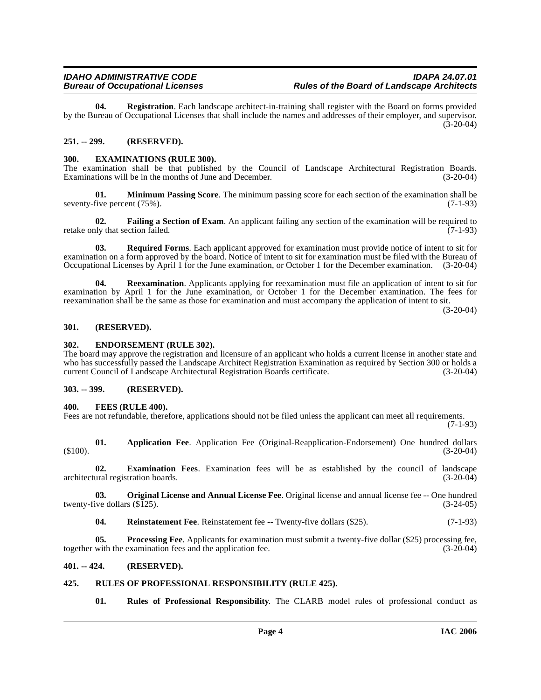**04. Registration**. Each landscape architect-in-training shall register with the Board on forms provided by the Bureau of Occupational Licenses that shall include the names and addresses of their employer, and supervisor.  $(3-20-04)$ 

#### <span id="page-3-0"></span>**251. -- 299. (RESERVED).**

#### <span id="page-3-10"></span><span id="page-3-1"></span>**300. EXAMINATIONS (RULE 300).**

The examination shall be that published by the Council of Landscape Architectural Registration Boards.<br>Examinations will be in the months of June and December. (3-20-04) Examinations will be in the months of June and December.

<span id="page-3-13"></span>**01. Minimum Passing Score**. The minimum passing score for each section of the examination shall be five percent (75%). (7-1-93) seventy-five percent (75%).

<span id="page-3-11"></span>**02. Failing a Section of Exam**. An applicant failing any section of the examination will be required to retake only that section failed. (7-1-93)

<span id="page-3-17"></span>**03. Required Forms**. Each applicant approved for examination must provide notice of intent to sit for examination on a form approved by the board. Notice of intent to sit for examination must be filed with the Bureau of Occupational Licenses by April 1 for the June examination, or October 1 for the December examination. (3-20-04)

**04. Reexamination**. Applicants applying for reexamination must file an application of intent to sit for examination by April 1 for the June examination, or October 1 for the December examination. The fees for reexamination shall be the same as those for examination and must accompany the application of intent to sit.

(3-20-04)

#### <span id="page-3-2"></span>**301. (RESERVED).**

#### <span id="page-3-3"></span>**302. ENDORSEMENT (RULE 302).**

The board may approve the registration and licensure of an applicant who holds a current license in another state and who has successfully passed the Landscape Architect Registration Examination as required by Section 300 or holds a current Council of Landscape Architectural Registration Boards certificate. (3-20-04) current Council of Landscape Architectural Registration Boards certificate.

#### <span id="page-3-4"></span>**303. -- 399. (RESERVED).**

#### <span id="page-3-12"></span><span id="page-3-5"></span>**400. FEES (RULE 400).**

Fees are not refundable, therefore, applications should not be filed unless the applicant can meet all requirements.

(7-1-93)

<span id="page-3-8"></span>**01. Application Fee**. Application Fee (Original-Reapplication-Endorsement) One hundred dollars (3-20-04)  $(3-20-04)$ 

<span id="page-3-9"></span>**02. Examination Fees**. Examination fees will be as established by the council of landscape architectural registration boards. (3-20-04)

**03. Original License and Annual License Fee**. Original license and annual license fee -- One hundred ive dollars (\$125). (3-24-05) twenty-five dollars  $(\$125)$ .

<span id="page-3-16"></span><span id="page-3-15"></span><span id="page-3-14"></span>**04.** Reinstatement Fee. Reinstatement fee -- Twenty-five dollars (\$25). (7-1-93)

**05. Processing Fee**. Applicants for examination must submit a twenty-five dollar (\$25) processing fee, with the examination fees and the application fee. (3-20-04) together with the examination fees and the application fee.

#### <span id="page-3-6"></span>**401. -- 424. (RESERVED).**

#### <span id="page-3-7"></span>**425. RULES OF PROFESSIONAL RESPONSIBILITY (RULE 425).**

<span id="page-3-18"></span>**01. Rules of Professional Responsibility**. The CLARB model rules of professional conduct as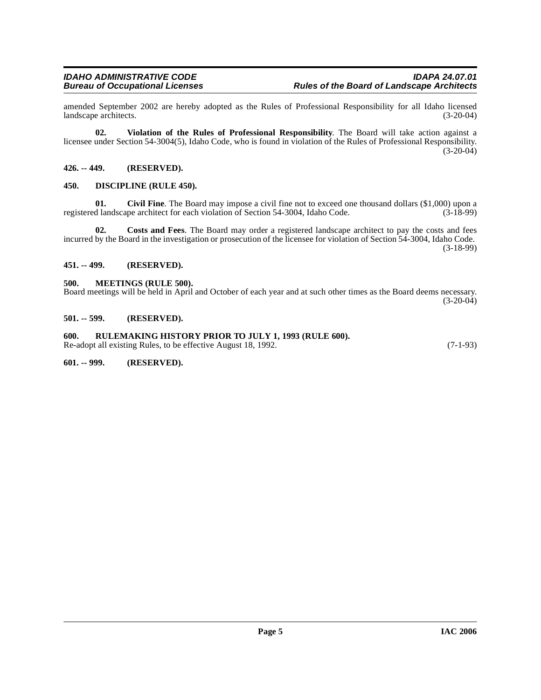amended September 2002 are hereby adopted as the Rules of Professional Responsibility for all Idaho licensed landscape architects.

**02. Violation of the Rules of Professional Responsibility**. The Board will take action against a licensee under Section 54-3004(5), Idaho Code, who is found in violation of the Rules of Professional Responsibility. (3-20-04)

#### <span id="page-4-0"></span>**426. -- 449. (RESERVED).**

#### <span id="page-4-8"></span><span id="page-4-1"></span>**450. DISCIPLINE (RULE 450).**

<span id="page-4-7"></span>**01.** Civil Fine. The Board may impose a civil fine not to exceed one thousand dollars (\$1,000) upon a d landscape architect for each violation of Section 54-3004. Idaho Code. (3-18-99) registered landscape architect for each violation of Section 54-3004, Idaho Code.

**02. Costs and Fees**. The Board may order a registered landscape architect to pay the costs and fees incurred by the Board in the investigation or prosecution of the licensee for violation of Section 54-3004, Idaho Code. (3-18-99)

#### <span id="page-4-2"></span>**451. -- 499. (RESERVED).**

#### <span id="page-4-9"></span><span id="page-4-3"></span>**500. MEETINGS (RULE 500).**

Board meetings will be held in April and October of each year and at such other times as the Board deems necessary.  $(3-20-04)$ 

#### <span id="page-4-4"></span>**501. -- 599. (RESERVED).**

<span id="page-4-5"></span>**600. RULEMAKING HISTORY PRIOR TO JULY 1, 1993 (RULE 600).** Re-adopt all existing Rules, to be effective August 18, 1992. (7-1-93)

<span id="page-4-6"></span>**601. -- 999. (RESERVED).**